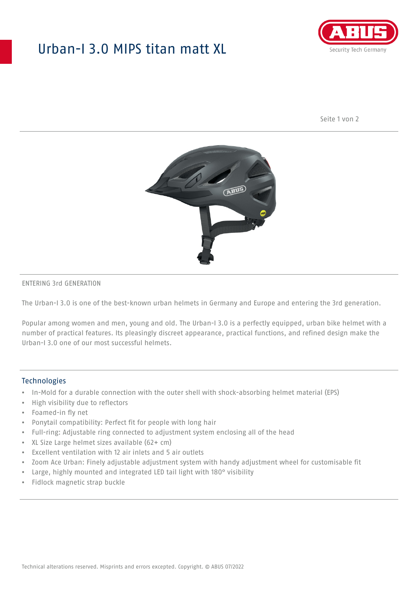## Urban-I 3.0 MIPS titan matt XL



Seite 1 von 2



#### ENTERING 3rd GENERATION

The Urban-I 3.0 is one of the best-known urban helmets in Germany and Europe and entering the 3rd generation.

Popular among women and men, young and old. The Urban-I 3.0 is a perfectly equipped, urban bike helmet with a number of practical features. Its pleasingly discreet appearance, practical functions, and refined design make the Urban-I 3.0 one of our most successful helmets.

#### **Technologies**

- In-Mold for a durable connection with the outer shell with shock-absorbing helmet material (EPS)
- High visibility due to reflectors
- Foamed-in fly net
- Ponytail compatibility: Perfect fit for people with long hair
- Full-ring: Adjustable ring connected to adjustment system enclosing all of the head
- XL Size Large helmet sizes available (62+ cm)
- Excellent ventilation with 12 air inlets and 5 air outlets
- Zoom Ace Urban: Finely adjustable adjustment system with handy adjustment wheel for customisable fit
- Large, highly mounted and integrated LED tail light with 180° visibility
- Fidlock magnetic strap buckle